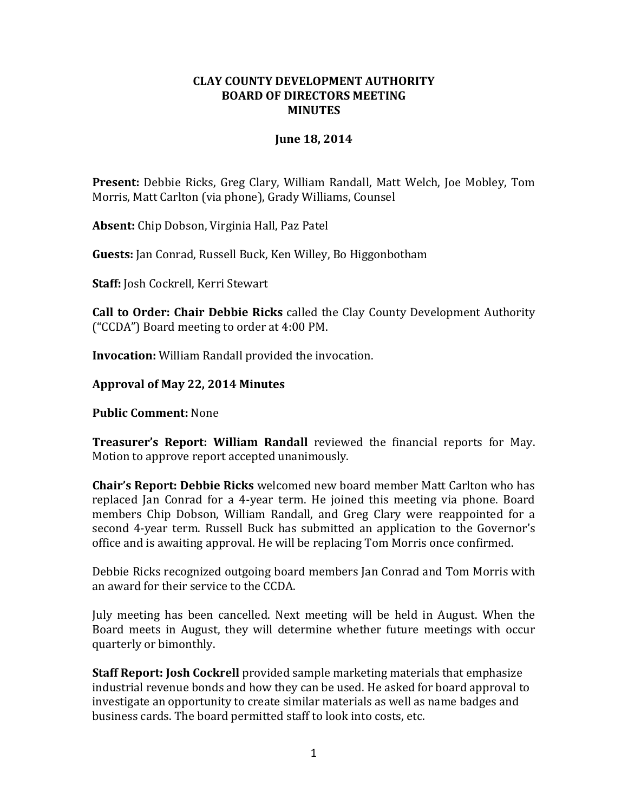## **CLAY COUNTY DEVELOPMENT AUTHORITY BOARD OF DIRECTORS MEETING MINUTES**

## **June 18, 2014**

**Present:** Debbie Ricks, Greg Clary, William Randall, Matt Welch, Joe Mobley, Tom Morris, Matt Carlton (via phone), Grady Williams, Counsel

**Absent:** Chip Dobson, Virginia Hall, Paz Patel

**Guests:** Jan Conrad, Russell Buck, Ken Willey, Bo Higgonbotham

**Staff:** Josh Cockrell, Kerri Stewart

**Call to Order: Chair Debbie Ricks** called the Clay County Development Authority ("CCDA") Board meeting to order at 4:00 PM.

**Invocation:** William Randall provided the invocation.

## **Approval of May 22, 2014 Minutes**

**Public Comment:** None

**Treasurer's Report: William Randall** reviewed the financial reports for May. Motion to approve report accepted unanimously.

**Chair's Report: Debbie Ricks** welcomed new board member Matt Carlton who has replaced Jan Conrad for a 4-year term. He joined this meeting via phone. Board members Chip Dobson, William Randall, and Greg Clary were reappointed for a second 4-year term. Russell Buck has submitted an application to the Governor's office and is awaiting approval. He will be replacing Tom Morris once confirmed.

Debbie Ricks recognized outgoing board members Jan Conrad and Tom Morris with an award for their service to the CCDA.

July meeting has been cancelled. Next meeting will be held in August. When the Board meets in August, they will determine whether future meetings with occur quarterly or bimonthly.

**Staff Report: Josh Cockrell** provided sample marketing materials that emphasize industrial revenue bonds and how they can be used. He asked for board approval to investigate an opportunity to create similar materials as well as name badges and business cards. The board permitted staff to look into costs, etc.